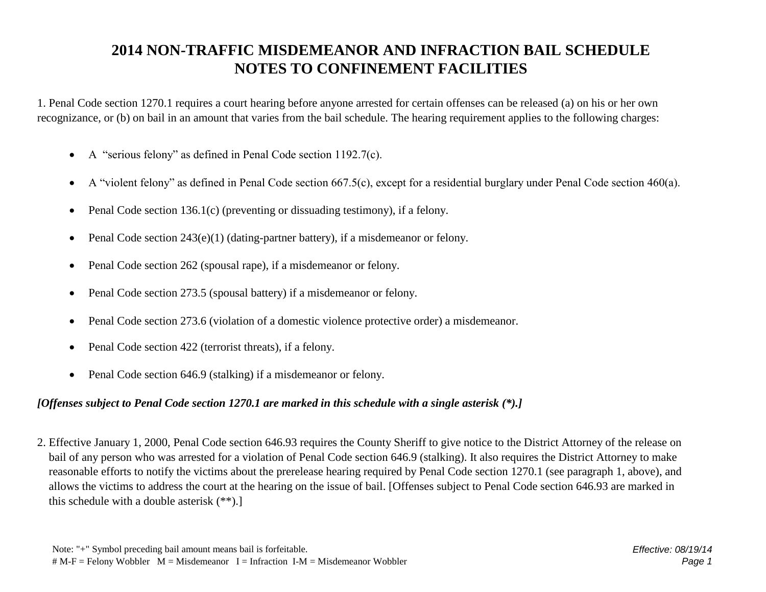## **2014 NON-TRAFFIC MISDEMEANOR AND INFRACTION BAIL SCHEDULE NOTES TO CONFINEMENT FACILITIES**

1. Penal Code section 1270.1 requires a court hearing before anyone arrested for certain offenses can be released (a) on his or her own recognizance, or (b) on bail in an amount that varies from the bail schedule. The hearing requirement applies to the following charges:

- A "serious felony" as defined in Penal Code section 1192.7(c).
- A "violent felony" as defined in Penal Code section 667.5(c), except for a residential burglary under Penal Code section 460(a).
- Penal Code section 136.1(c) (preventing or dissuading testimony), if a felony.
- Penal Code section  $243(e)(1)$  (dating-partner battery), if a misdemeanor or felony.
- Penal Code section 262 (spousal rape), if a misdemeanor or felony.
- Penal Code section 273.5 (spousal battery) if a misdemeanor or felony.
- Penal Code section 273.6 (violation of a domestic violence protective order) a misdemeanor.
- Penal Code section 422 (terrorist threats), if a felony.
- Penal Code section 646.9 (stalking) if a misdemeanor or felony.

## *[Offenses subject to Penal Code section 1270.1 are marked in this schedule with a single asterisk (\*).]*

2. Effective January 1, 2000, Penal Code section 646.93 requires the County Sheriff to give notice to the District Attorney of the release on bail of any person who was arrested for a violation of Penal Code section 646.9 (stalking). It also requires the District Attorney to make reasonable efforts to notify the victims about the prerelease hearing required by Penal Code section 1270.1 (see paragraph 1, above), and allows the victims to address the court at the hearing on the issue of bail. [Offenses subject to Penal Code section 646.93 are marked in this schedule with a double asterisk (\*\*).]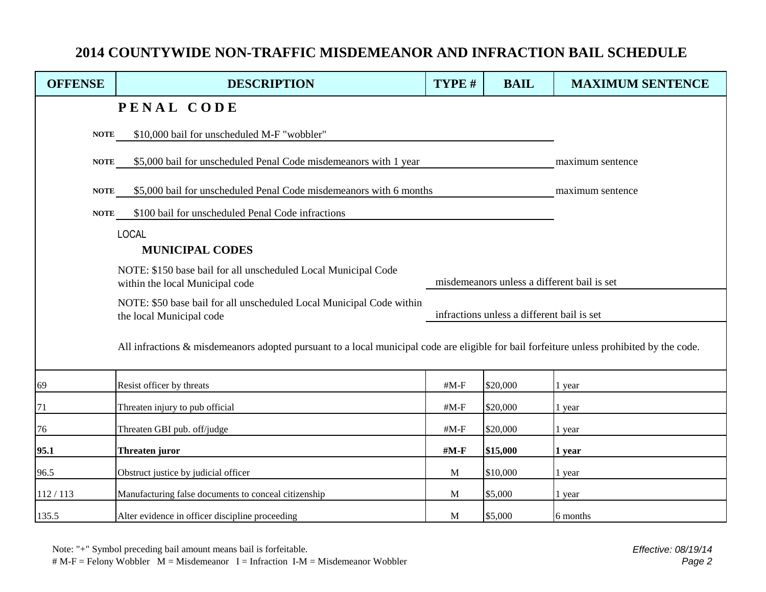## **2014 COUNTYWIDE NON-TRAFFIC MISDEMEANOR AND INFRACTION BAIL SCHEDULE**

| <b>OFFENSE</b> | <b>DESCRIPTION</b>                                                                                                                        | TYPE #                                     | <b>BAIL</b> | <b>MAXIMUM SENTENCE</b>                     |  |
|----------------|-------------------------------------------------------------------------------------------------------------------------------------------|--------------------------------------------|-------------|---------------------------------------------|--|
|                | PENAL CODE                                                                                                                                |                                            |             |                                             |  |
| <b>NOTE</b>    | \$10,000 bail for unscheduled M-F "wobbler"                                                                                               |                                            |             |                                             |  |
| <b>NOTE</b>    | \$5,000 bail for unscheduled Penal Code misdemeanors with 1 year                                                                          |                                            |             | maximum sentence                            |  |
| <b>NOTE</b>    | \$5,000 bail for unscheduled Penal Code misdemeanors with 6 months                                                                        | maximum sentence                           |             |                                             |  |
| <b>NOTE</b>    | \$100 bail for unscheduled Penal Code infractions                                                                                         |                                            |             |                                             |  |
|                | <b>LOCAL</b>                                                                                                                              |                                            |             |                                             |  |
|                | <b>MUNICIPAL CODES</b>                                                                                                                    |                                            |             |                                             |  |
|                | NOTE: \$150 base bail for all unscheduled Local Municipal Code<br>within the local Municipal code                                         |                                            |             | misdemeanors unless a different bail is set |  |
|                | NOTE: \$50 base bail for all unscheduled Local Municipal Code within<br>the local Municipal code                                          | infractions unless a different bail is set |             |                                             |  |
|                | All infractions & misdemeanors adopted pursuant to a local municipal code are eligible for bail forfeiture unless prohibited by the code. |                                            |             |                                             |  |
| 69             | Resist officer by threats                                                                                                                 | $#M-F$                                     | \$20,000    | 1 year                                      |  |
| 71             | Threaten injury to pub official                                                                                                           | $#M-F$                                     | \$20,000    | 1 year                                      |  |
| 76             | Threaten GBI pub. off/judge                                                                                                               | $#M-F$                                     | \$20,000    | 1 year                                      |  |
| 95.1           | Threaten juror                                                                                                                            | $\#M-F$                                    | \$15,000    | 1 year                                      |  |
| 96.5           | Obstruct justice by judicial officer                                                                                                      | M                                          | \$10,000    | 1 year                                      |  |
| 112/113        | Manufacturing false documents to conceal citizenship                                                                                      | M                                          | \$5,000     | 1 year                                      |  |
| 135.5          | Alter evidence in officer discipline proceeding                                                                                           | M                                          | \$5,000     | 6 months                                    |  |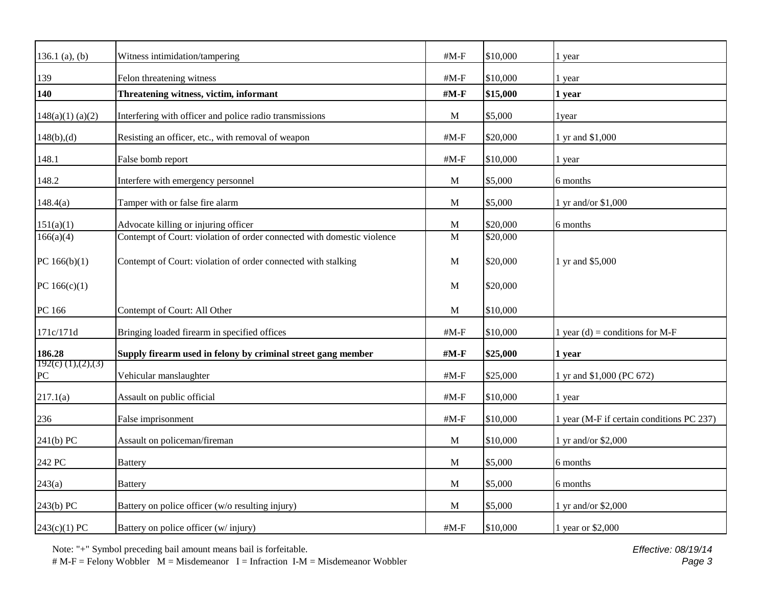| 136.1 $(a)$ , $(b)$                | Witness intimidation/tampering                                         | $#M-F$       | \$10,000 | 1 year                                    |
|------------------------------------|------------------------------------------------------------------------|--------------|----------|-------------------------------------------|
| 139                                | Felon threatening witness                                              | $#M-F$       | \$10,000 | 1 year                                    |
| 140                                | Threatening witness, victim, informant                                 | $#M-F$       | \$15,000 | 1 year                                    |
| 148(a)(1) (a)(2)                   | Interfering with officer and police radio transmissions                | $\mathbf M$  | \$5,000  | 1 year                                    |
| 148(b),(d)                         | Resisting an officer, etc., with removal of weapon                     | $#M-F$       | \$20,000 | 1 yr and \$1,000                          |
| 148.1                              | False bomb report                                                      | $#M-F$       | \$10,000 | 1 year                                    |
| 148.2                              | Interfere with emergency personnel                                     | M            | \$5,000  | 6 months                                  |
| 148.4(a)                           | Tamper with or false fire alarm                                        | M            | \$5,000  | 1 yr and/or \$1,000                       |
| 151(a)(1)                          | Advocate killing or injuring officer                                   | $\mathbf{M}$ | \$20,000 | 6 months                                  |
| 166(a)(4)                          | Contempt of Court: violation of order connected with domestic violence | M            | \$20,000 |                                           |
| PC $166(b)(1)$                     | Contempt of Court: violation of order connected with stalking          | M            | \$20,000 | 1 yr and \$5,000                          |
| PC $166(c)(1)$                     |                                                                        | M            | \$20,000 |                                           |
| PC 166                             | Contempt of Court: All Other                                           | M            | \$10,000 |                                           |
| 171c/171d                          | Bringing loaded firearm in specified offices                           | $#M-F$       | \$10,000 | 1 year (d) = conditions for M-F           |
| 186.28                             | Supply firearm used in felony by criminal street gang member           | $\#M-F$      | \$25,000 | 1 year                                    |
| 192(c) $(1)$ , $(2)$ , $(3)$<br>PC | Vehicular manslaughter                                                 | $#M-F$       | \$25,000 | 1 yr and \$1,000 (PC 672)                 |
| 217.1(a)                           | Assault on public official                                             | $#M-F$       | \$10,000 | 1 year                                    |
| 236                                | False imprisonment                                                     | $#M-F$       | \$10,000 | 1 year (M-F if certain conditions PC 237) |
| $241(b)$ PC                        | Assault on policeman/fireman                                           | M            | \$10,000 | 1 yr and/or \$2,000                       |
| 242 PC                             | <b>Battery</b>                                                         | M            | \$5,000  | 6 months                                  |
| 243(a)                             | <b>Battery</b>                                                         | M            | \$5,000  | 6 months                                  |
| $243(b)$ PC                        | Battery on police officer (w/o resulting injury)                       | M            | \$5,000  | 1 yr and/or \$2,000                       |
| 243(c)(1) PC                       | Battery on police officer (w/injury)                                   | $#M-F$       | \$10,000 | 1 year or \$2,000                         |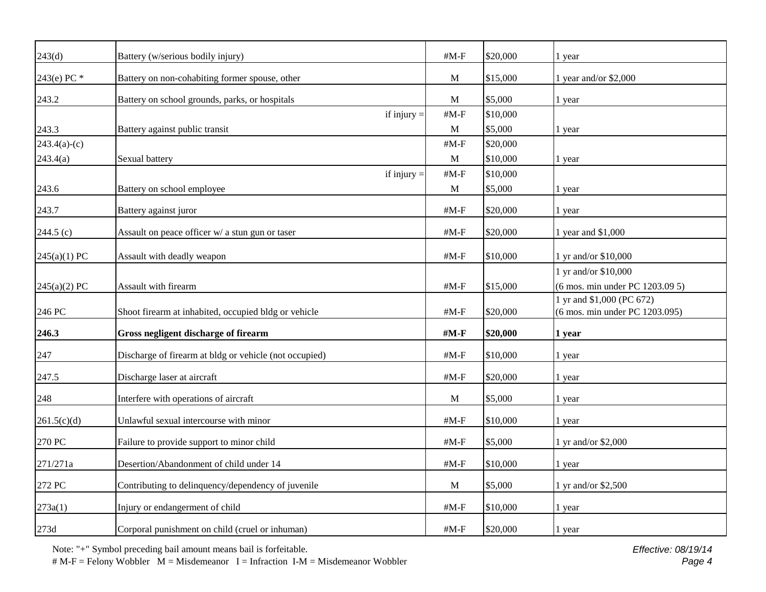| 243(d)         | Battery (w/serious bodily injury)                      | $#M-F$                  | \$20,000 | 1 year                                                      |
|----------------|--------------------------------------------------------|-------------------------|----------|-------------------------------------------------------------|
| 243(e) PC *    | Battery on non-cohabiting former spouse, other         | M                       | \$15,000 | 1 year and/or \$2,000                                       |
| 243.2          | Battery on school grounds, parks, or hospitals         | M                       | \$5,000  | 1 year                                                      |
|                | if injury $=$                                          | $#M-F$                  | \$10,000 |                                                             |
| 243.3          | Battery against public transit                         | $\mathbf M$             | \$5,000  | 1 year                                                      |
| $243.4(a)-(c)$ |                                                        | $#M-F$                  | \$20,000 |                                                             |
| 243.4(a)       | Sexual battery                                         | M                       | \$10,000 | 1 year                                                      |
|                | if injury $=$                                          | $\#M\text{-}\mathrm{F}$ | \$10,000 |                                                             |
| 243.6          | Battery on school employee                             | M                       | \$5,000  | 1 year                                                      |
| 243.7          | Battery against juror                                  | $#M-F$                  | \$20,000 | 1 year                                                      |
| $244.5$ (c)    | Assault on peace officer w/ a stun gun or taser        | $#M-F$                  | \$20,000 | 1 year and \$1,000                                          |
| 245(a)(1) PC   | Assault with deadly weapon                             | $#M-F$                  | \$10,000 | 1 yr and/or \$10,000                                        |
| 245(a)(2) PC   | Assault with firearm                                   | $#M-F$                  | \$15,000 | 1 yr and/or \$10,000<br>(6 mos. min under PC 1203.09 5)     |
| 246 PC         | Shoot firearm at inhabited, occupied bldg or vehicle   | $#M-F$                  | \$20,000 | 1 yr and \$1,000 (PC 672)<br>(6 mos. min under PC 1203.095) |
| 246.3          | Gross negligent discharge of firearm                   | #M-F                    | \$20,000 | 1 year                                                      |
| 247            | Discharge of firearm at bldg or vehicle (not occupied) | $#M-F$                  | \$10,000 | 1 year                                                      |
| 247.5          | Discharge laser at aircraft                            | $#M-F$                  | \$20,000 | 1 year                                                      |
| 248            | Interfere with operations of aircraft                  | $\mathbf{M}$            | \$5,000  | 1 year                                                      |
| 261.5(c)(d)    | Unlawful sexual intercourse with minor                 | $#M-F$                  | \$10,000 | 1 year                                                      |
| 270 PC         | Failure to provide support to minor child              | $#M-F$                  | \$5,000  | 1 yr and/or \$2,000                                         |
| 271/271a       | Desertion/Abandonment of child under 14                | $#M-F$                  | \$10,000 | 1 year                                                      |
| 272 PC         | Contributing to delinquency/dependency of juvenile     | M                       | \$5,000  | 1 yr and/or \$2,500                                         |
| 273a(1)        | Injury or endangerment of child                        | $\#M-F$                 | \$10,000 | 1 year                                                      |
| 273d           | Corporal punishment on child (cruel or inhuman)        | $#M-F$                  | \$20,000 | 1 year                                                      |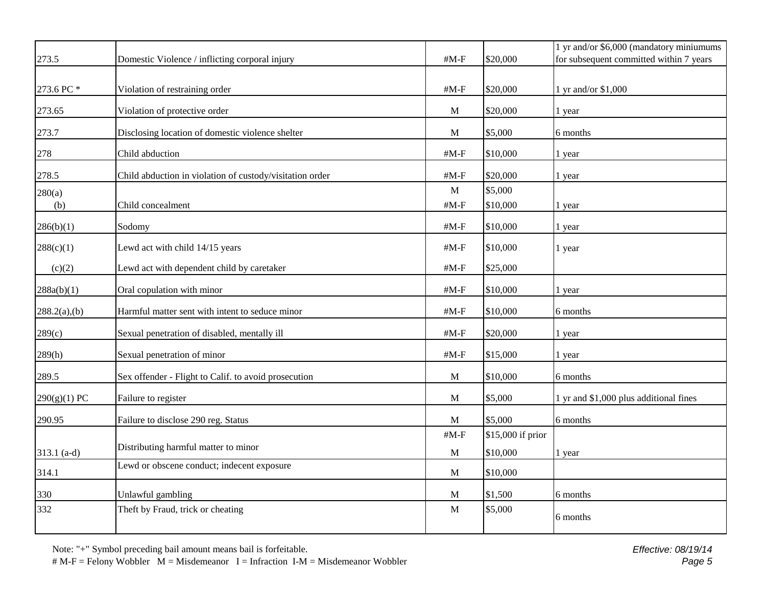|                |                                                          |                         |                   | 1 yr and/or \$6,000 (mandatory miniumums |
|----------------|----------------------------------------------------------|-------------------------|-------------------|------------------------------------------|
| 273.5          | Domestic Violence / inflicting corporal injury           | $#M-F$                  | \$20,000          | for subsequent committed within 7 years  |
| 273.6 PC *     | Violation of restraining order                           | $#M-F$                  | \$20,000          | 1 yr and/or \$1,000                      |
| 273.65         | Violation of protective order                            | M                       | \$20,000          | 1 year                                   |
| 273.7          | Disclosing location of domestic violence shelter         | M                       | \$5,000           | 6 months                                 |
| 278            | Child abduction                                          | $\#M\text{-}\mathrm{F}$ | \$10,000          | 1 year                                   |
| 278.5          | Child abduction in violation of custody/visitation order | $#M-F$                  | \$20,000          | 1 year                                   |
| 280(a)         |                                                          | $\mathbf{M}$            | \$5,000           |                                          |
| (b)            | Child concealment                                        | $#M-F$                  | \$10,000          | 1 year                                   |
| 286(b)(1)      | Sodomy                                                   | $#M-F$                  | \$10,000          | 1 year                                   |
| 288(c)(1)      | Lewd act with child 14/15 years                          | # $M-F$                 | \$10,000          | 1 year                                   |
| (c)(2)         | Lewd act with dependent child by caretaker               | $\#M\text{-}\mathrm{F}$ | \$25,000          |                                          |
| 288a(b)(1)     | Oral copulation with minor                               | $#M-F$                  | \$10,000          | 1 year                                   |
| 288.2(a),(b)   | Harmful matter sent with intent to seduce minor          | $\#M\text{-}\mathrm{F}$ | \$10,000          | 6 months                                 |
| 289(c)         | Sexual penetration of disabled, mentally ill             | $#M-F$                  | \$20,000          | 1 year                                   |
| 289(h)         | Sexual penetration of minor                              | $\#M\text{-}\mathrm{F}$ | \$15,000          | 1 year                                   |
| 289.5          | Sex offender - Flight to Calif. to avoid prosecution     | M                       | \$10,000          | 6 months                                 |
| $290(g)(1)$ PC | Failure to register                                      | M                       | \$5,000           | 1 yr and \$1,000 plus additional fines   |
| 290.95         | Failure to disclose 290 reg. Status                      | M                       | \$5,000           | 6 months                                 |
|                |                                                          | $\#M\text{-}\mathrm{F}$ | \$15,000 if prior |                                          |
| $313.1$ (a-d)  | Distributing harmful matter to minor                     | $\mathbf M$             | \$10,000          | 1 year                                   |
| 314.1          | Lewd or obscene conduct; indecent exposure               | M                       | \$10,000          |                                          |
| 330            | Unlawful gambling                                        | M                       | \$1,500           | 6 months                                 |
| 332            | Theft by Fraud, trick or cheating                        | M                       | \$5,000           | 6 months                                 |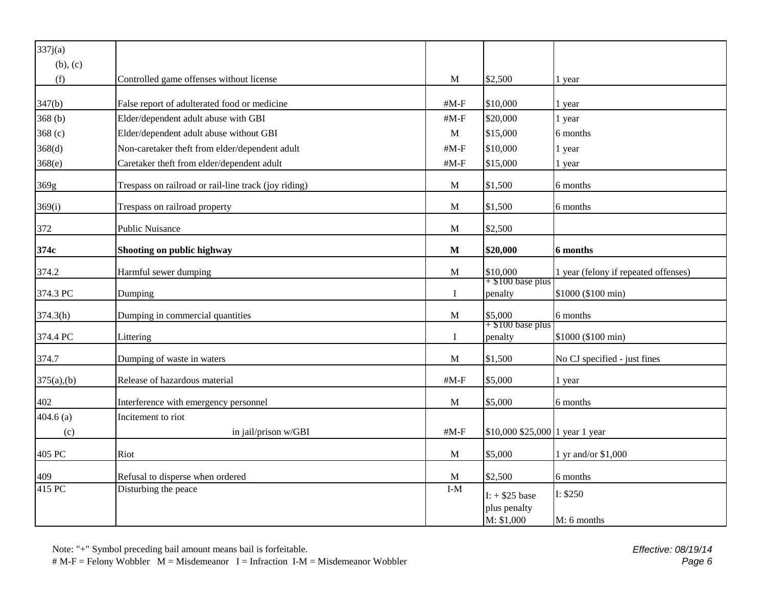| 337j(a)    |                                                      |              |                                                       |                                      |
|------------|------------------------------------------------------|--------------|-------------------------------------------------------|--------------------------------------|
| (b), (c)   |                                                      |              |                                                       |                                      |
| (f)        | Controlled game offenses without license             | M            | \$2,500                                               | 1 year                               |
|            |                                                      |              |                                                       |                                      |
| 347(b)     | False report of adulterated food or medicine         | $#M-F$       | \$10,000                                              | 1 year                               |
| 368(b)     | Elder/dependent adult abuse with GBI                 | $#M-F$       | \$20,000                                              | 1 year                               |
| 368 $(c)$  | Elder/dependent adult abuse without GBI              | $\mathbf M$  | \$15,000                                              | 6 months                             |
| 368(d)     | Non-caretaker theft from elder/dependent adult       | $#M-F$       | \$10,000                                              | 1 year                               |
| 368(e)     | Caretaker theft from elder/dependent adult           | $#M-F$       | \$15,000                                              | 1 year                               |
| 369g       | Trespass on railroad or rail-line track (joy riding) | M            | \$1,500                                               | 6 months                             |
| 369(i)     | Trespass on railroad property                        | $\mathbf{M}$ | \$1,500                                               | 6 months                             |
| 372        | <b>Public Nuisance</b>                               | M            | \$2,500                                               |                                      |
| 374c       | Shooting on public highway                           | M            | \$20,000                                              | 6 months                             |
| 374.2      | Harmful sewer dumping                                | M            | \$10,000                                              | 1 year (felony if repeated offenses) |
| 374.3 PC   | Dumping                                              | $\bf{I}$     | $+ $100$ base plus<br>penalty                         | \$1000 (\$100 min)                   |
| 374.3(h)   | Dumping in commercial quantities                     | M            | \$5,000                                               | 6 months                             |
| 374.4 PC   | Littering                                            | $\bf{I}$     | $+ $100$ base plus<br>penalty                         | \$1000 (\$100 min)                   |
| 374.7      | Dumping of waste in waters                           | M            | \$1,500                                               | No CJ specified - just fines         |
| 375(a),(b) | Release of hazardous material                        | $#M-F$       | \$5,000                                               | 1 year                               |
| 402        | Interference with emergency personnel                | $\mathbf M$  | \$5,000                                               | 6 months                             |
| 404.6(a)   | Incitement to riot                                   |              |                                                       |                                      |
| (c)        | in jail/prison w/GBI                                 | $#M-F$       | $$10,000 $25,000$ 1 year 1 year                       |                                      |
| 405 PC     | Riot                                                 | M            | \$5,000                                               | 1 yr and/or \$1,000                  |
| 409        | Refusal to disperse when ordered                     | M            | \$2,500                                               | 6 months                             |
| 415 PC     | Disturbing the peace                                 | $I-M$        | $I: + $25 \text{ base}$<br>plus penalty<br>M: \$1,000 | I: \$250<br>M: 6 months              |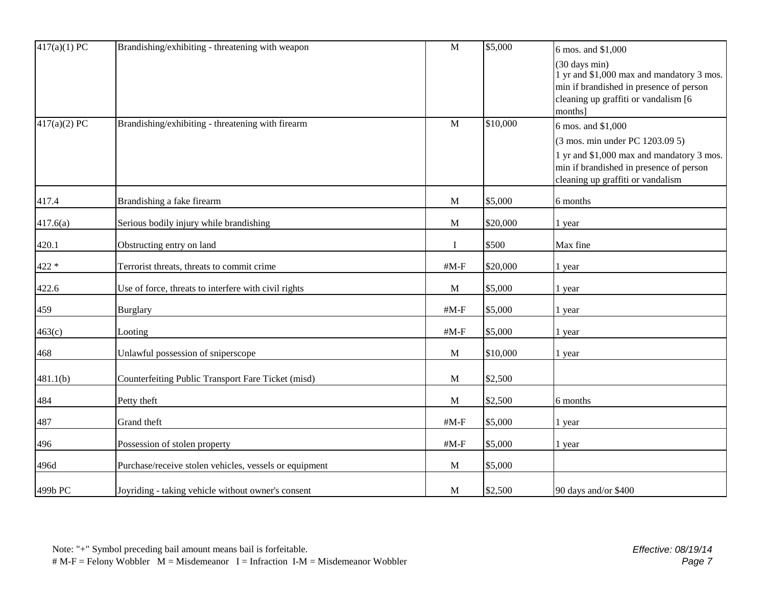| 417(a)(1) PC | Brandishing/exhibiting - threatening with weapon       | $\mathbf{M}$            | \$5,000  | 6 mos. and \$1,000                        |
|--------------|--------------------------------------------------------|-------------------------|----------|-------------------------------------------|
|              |                                                        |                         |          | (30 days min)                             |
|              |                                                        |                         |          | 1 yr and \$1,000 max and mandatory 3 mos. |
|              |                                                        |                         |          | min if brandished in presence of person   |
|              |                                                        |                         |          | cleaning up graffiti or vandalism [6]     |
| 417(a)(2) PC | Brandishing/exhibiting - threatening with firearm      | $\mathbf M$             | \$10,000 | months]<br>6 mos. and \$1,000             |
|              |                                                        |                         |          | (3 mos. min under PC 1203.09 5)           |
|              |                                                        |                         |          | 1 yr and \$1,000 max and mandatory 3 mos. |
|              |                                                        |                         |          | min if brandished in presence of person   |
|              |                                                        |                         |          | cleaning up graffiti or vandalism         |
| 417.4        | Brandishing a fake firearm                             | M                       | \$5,000  | 6 months                                  |
| 417.6(a)     | Serious bodily injury while brandishing                | $\mathbf M$             | \$20,000 | 1 year                                    |
| 420.1        | Obstructing entry on land                              | I                       | \$500    | Max fine                                  |
| $422\; *$    | Terrorist threats, threats to commit crime             | $\#M\text{-}\mathrm{F}$ | \$20,000 | 1 year                                    |
| 422.6        | Use of force, threats to interfere with civil rights   | M                       | \$5,000  | 1 year                                    |
| 459          | <b>Burglary</b>                                        | $#M-F$                  | \$5,000  | 1 year                                    |
| 463(c)       | Looting                                                | $#M-F$                  | \$5,000  | 1 year                                    |
| 468          | Unlawful possession of sniperscope                     | M                       | \$10,000 | 1 year                                    |
| 481.1(b)     | Counterfeiting Public Transport Fare Ticket (misd)     | M                       | \$2,500  |                                           |
| 484          | Petty theft                                            | M                       | \$2,500  | 6 months                                  |
| 487          | Grand theft                                            | $\#M\text{-}\mathrm{F}$ | \$5,000  | 1 year                                    |
| 496          | Possession of stolen property                          | $\#M\text{-}\mathrm{F}$ | \$5,000  | 1 year                                    |
| 496d         | Purchase/receive stolen vehicles, vessels or equipment | $\mathbf M$             | \$5,000  |                                           |
| 499b PC      | Joyriding - taking vehicle without owner's consent     | M                       | \$2,500  | 90 days and/or \$400                      |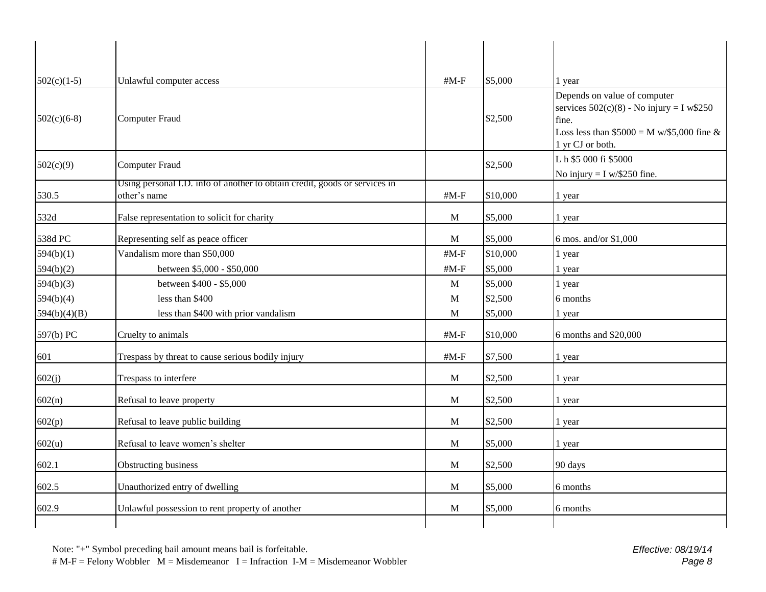| $502(c)(1-5)$ | Unlawful computer access                                                                   | $#M-F$       | \$5,000  | 1 year                                                                                                                                                 |
|---------------|--------------------------------------------------------------------------------------------|--------------|----------|--------------------------------------------------------------------------------------------------------------------------------------------------------|
| $502(c)(6-8)$ | Computer Fraud                                                                             |              | \$2,500  | Depends on value of computer<br>services $502(c)(8)$ - No injury = I w\$250<br>fine.<br>Loss less than $$5000 = M w/$5,000$ fine &<br>1 yr CJ or both. |
| 502(c)(9)     | <b>Computer Fraud</b>                                                                      |              | \$2,500  | L h \$5 000 fi \$5000<br>No injury = $I w/250$ fine.                                                                                                   |
| 530.5         | Using personal I.D. info of another to obtain credit, goods or services in<br>other's name | $\#M-F$      | \$10,000 | 1 year                                                                                                                                                 |
|               |                                                                                            |              |          |                                                                                                                                                        |
| 532d          | False representation to solicit for charity                                                | M            | \$5,000  | 1 year                                                                                                                                                 |
| 538d PC       | Representing self as peace officer                                                         | M            | \$5,000  | 6 mos. and/or \$1,000                                                                                                                                  |
| 594(b)(1)     | Vandalism more than \$50,000                                                               | $#M-F$       | \$10,000 | 1 year                                                                                                                                                 |
| 594(b)(2)     | between \$5,000 - \$50,000                                                                 | $#M-F$       | \$5,000  | 1 year                                                                                                                                                 |
| 594(b)(3)     | between \$400 - \$5,000                                                                    | $\mathbf M$  | \$5,000  | 1 year                                                                                                                                                 |
| 594(b)(4)     | less than \$400                                                                            | $\mathbf M$  | \$2,500  | 6 months                                                                                                                                               |
| 594(b)(4)(B)  | less than \$400 with prior vandalism                                                       | M            | \$5,000  | 1 year                                                                                                                                                 |
| 597(b) PC     | Cruelty to animals                                                                         | $#M-F$       | \$10,000 | 6 months and \$20,000                                                                                                                                  |
| 601           | Trespass by threat to cause serious bodily injury                                          | # $M-F$      | \$7,500  | 1 year                                                                                                                                                 |
| 602(j)        | Trespass to interfere                                                                      | M            | \$2,500  | 1 year                                                                                                                                                 |
| 602(n)        | Refusal to leave property                                                                  | M            | \$2,500  | 1 year                                                                                                                                                 |
| 602(p)        | Refusal to leave public building                                                           | M            | \$2,500  | 1 year                                                                                                                                                 |
| 602(u)        | Refusal to leave women's shelter                                                           | M            | \$5,000  | 1 year                                                                                                                                                 |
| 602.1         | Obstructing business                                                                       | $\mathbf{M}$ | \$2,500  | 90 days                                                                                                                                                |
| 602.5         | Unauthorized entry of dwelling                                                             | M            | \$5,000  | 6 months                                                                                                                                               |
| 602.9         | Unlawful possession to rent property of another                                            | M            | \$5,000  | 6 months                                                                                                                                               |
|               |                                                                                            |              |          |                                                                                                                                                        |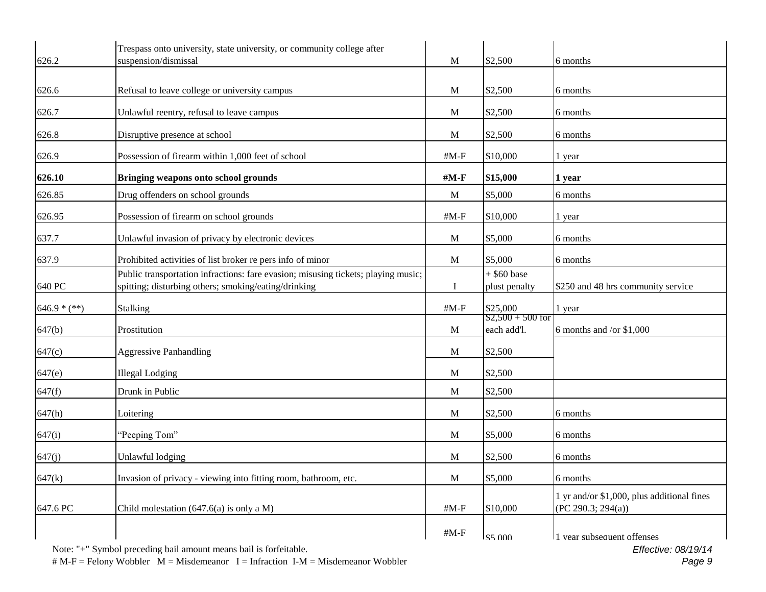| 626.2          | Trespass onto university, state university, or community college after<br>suspension/dismissal                                            | M            | \$2,500                           | 6 months                                                         |
|----------------|-------------------------------------------------------------------------------------------------------------------------------------------|--------------|-----------------------------------|------------------------------------------------------------------|
|                |                                                                                                                                           |              |                                   |                                                                  |
| 626.6          | Refusal to leave college or university campus                                                                                             | M            | \$2,500                           | 6 months                                                         |
| 626.7          | Unlawful reentry, refusal to leave campus                                                                                                 | M            | \$2,500                           | 6 months                                                         |
| 626.8          | Disruptive presence at school                                                                                                             | M            | \$2,500                           | 6 months                                                         |
| 626.9          | Possession of firearm within 1,000 feet of school                                                                                         | $#M-F$       | \$10,000                          | 1 year                                                           |
| 626.10         | Bringing weapons onto school grounds                                                                                                      | $#M-F$       | \$15,000                          | 1 year                                                           |
| 626.85         | Drug offenders on school grounds                                                                                                          | $\mathbf{M}$ | \$5,000                           | 6 months                                                         |
| 626.95         | Possession of firearm on school grounds                                                                                                   | $#M-F$       | \$10,000                          | 1 year                                                           |
| 637.7          | Unlawful invasion of privacy by electronic devices                                                                                        | M            | \$5,000                           | 6 months                                                         |
| 637.9          | Prohibited activities of list broker re pers info of minor                                                                                | M            | \$5,000                           | 6 months                                                         |
| 640 PC         | Public transportation infractions: fare evasion; misusing tickets; playing music;<br>spitting; disturbing others; smoking/eating/drinking | I            | $+$ \$60 base<br>plust penalty    | \$250 and 48 hrs community service                               |
| $646.9 * (**)$ | <b>Stalking</b>                                                                                                                           | $#M-F$       | \$25,000                          | 1 year                                                           |
| 647(b)         | Prostitution                                                                                                                              | M            | $$2,500 + 500$ for<br>each add'l. | 6 months and /or $$1,000$                                        |
| 647(c)         | <b>Aggressive Panhandling</b>                                                                                                             | M            | \$2,500                           |                                                                  |
| 647(e)         | <b>Illegal Lodging</b>                                                                                                                    | M            | \$2,500                           |                                                                  |
| 647(f)         | Drunk in Public                                                                                                                           | M            | \$2,500                           |                                                                  |
| 647(h)         | Loitering                                                                                                                                 | M            | \$2,500                           | 6 months                                                         |
| 647(i)         | "Peeping Tom"                                                                                                                             | M            | \$5,000                           | 6 months                                                         |
| 647(j)         | Unlawful lodging                                                                                                                          | M            | \$2,500                           | 6 months                                                         |
| 647(k)         | Invasion of privacy - viewing into fitting room, bathroom, etc.                                                                           | $\mathbf M$  | \$5,000                           | 6 months                                                         |
| 647.6 PC       | Child molestation $(647.6(a)$ is only a M)                                                                                                | $#M-F$       | \$10,000                          | 1 yr and/or \$1,000, plus additional fines<br>(PC 290.3; 294(a)) |
|                | Note: "+" Symbol preceding bail amount means bail is forfeitable.                                                                         | $#M-F$       | \$5,000                           | 1 vear subsequent offenses<br>Effective: 08/19/14                |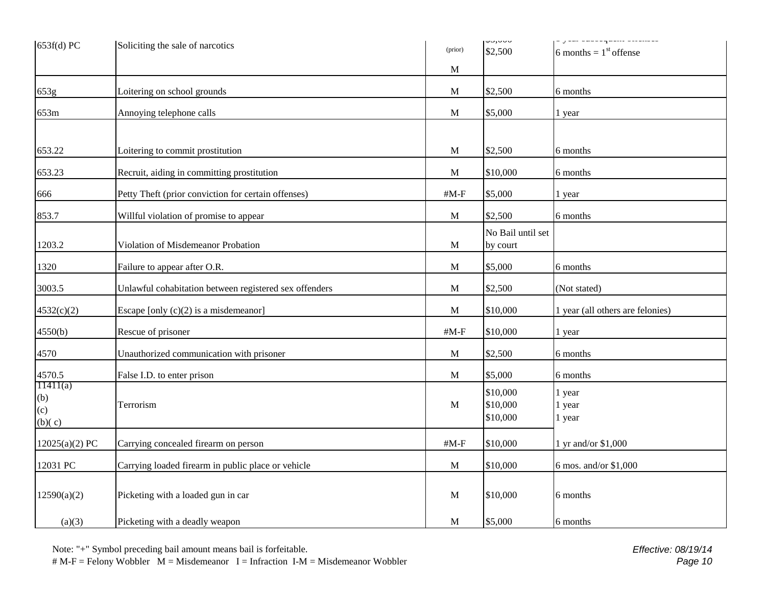| $653f(d)$ PC                     | Soliciting the sale of narcotics                       | (prior)                 | 40,000<br>\$2,500                | , jim omoorqurus ollelloro<br>6 months = $1st$ offense |
|----------------------------------|--------------------------------------------------------|-------------------------|----------------------------------|--------------------------------------------------------|
|                                  |                                                        | M                       |                                  |                                                        |
| 653g                             | Loitering on school grounds                            | M                       | \$2,500                          | 6 months                                               |
| 653m                             | Annoying telephone calls                               | M                       | \$5,000                          | 1 year                                                 |
|                                  |                                                        |                         |                                  |                                                        |
| 653.22                           | Loitering to commit prostitution                       | M                       | \$2,500                          | 6 months                                               |
| 653.23                           | Recruit, aiding in committing prostitution             | M                       | \$10,000                         | 6 months                                               |
| 666                              | Petty Theft (prior conviction for certain offenses)    | $#M-F$                  | \$5,000                          | 1 year                                                 |
| 853.7                            | Willful violation of promise to appear                 | M                       | \$2,500                          | 6 months                                               |
| 1203.2                           | Violation of Misdemeanor Probation                     | M                       | No Bail until set<br>by court    |                                                        |
| 1320                             | Failure to appear after O.R.                           | M                       | \$5,000                          | 6 months                                               |
| 3003.5                           | Unlawful cohabitation between registered sex offenders | M                       | \$2,500                          | (Not stated)                                           |
| 4532(c)(2)                       | Escape [only $(c)(2)$ is a misdemeanor]                | M                       | \$10,000                         | 1 year (all others are felonies)                       |
| 4550(b)                          | Rescue of prisoner                                     | $\#M\text{-}\mathrm{F}$ | \$10,000                         | 1 year                                                 |
| 4570                             | Unauthorized communication with prisoner               | M                       | \$2,500                          | 6 months                                               |
| 4570.5                           | False I.D. to enter prison                             | M                       | \$5,000                          | 6 months                                               |
| 11411(a)<br>(b)<br>(c)<br>(b)(c) | Terrorism                                              | M                       | \$10,000<br>\$10,000<br>\$10,000 | 1 year<br>1 year<br>1 year                             |
| 12025(a)(2) PC                   | Carrying concealed firearm on person                   | $#M-F$                  | \$10,000                         | 1 yr and/or \$1,000                                    |
| 12031 PC                         | Carrying loaded firearm in public place or vehicle     | M                       | \$10,000                         | 6 mos. and/or \$1,000                                  |
| 12590(a)(2)                      | Picketing with a loaded gun in car                     | M                       | \$10,000                         | 6 months                                               |
| (a)(3)                           | Picketing with a deadly weapon                         | $\mathbf{M}$            | \$5,000                          | 6 months                                               |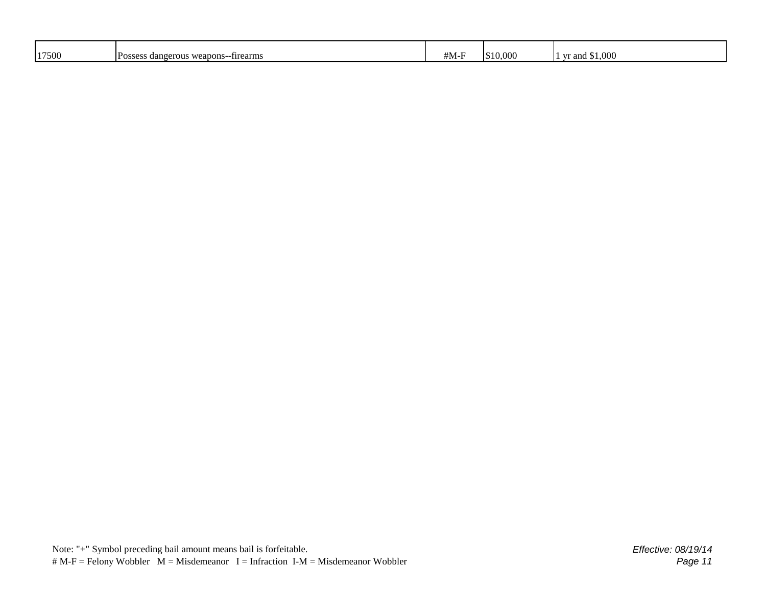| 17500 |                                                   |       | 10.000<br>. . | 1,000<br>$\sim$ |
|-------|---------------------------------------------------|-------|---------------|-----------------|
|       | -firearms<br>Posses<br>weapons-<br>°OUS<br>danger | 41.VI |               | vr and          |
|       |                                                   |       |               |                 |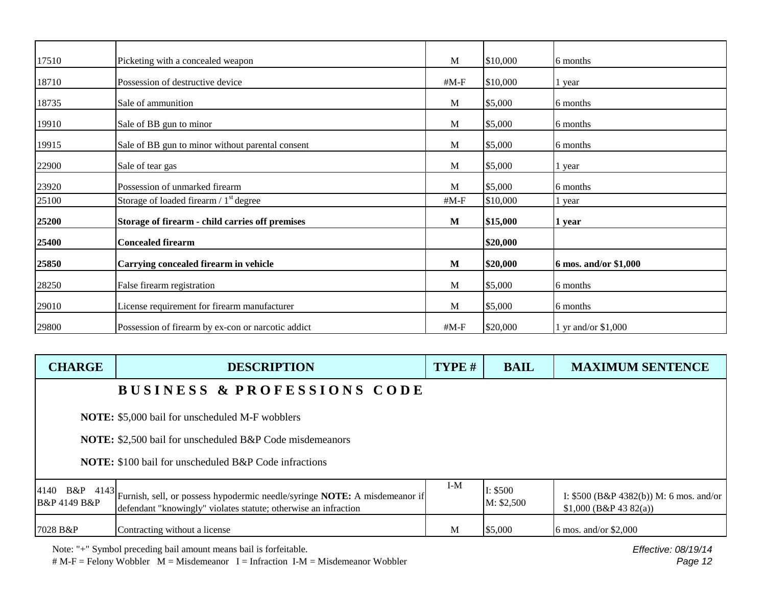| 17510 | Picketing with a concealed weapon                  | M            | \$10,000 | 6 months              |
|-------|----------------------------------------------------|--------------|----------|-----------------------|
| 18710 | Possession of destructive device                   | # $M-F$      | \$10,000 | 1 year                |
| 18735 | Sale of ammunition                                 | M            | \$5,000  | 6 months              |
| 19910 | Sale of BB gun to minor                            | M            | \$5,000  | 6 months              |
| 19915 | Sale of BB gun to minor without parental consent   | M            | \$5,000  | 6 months              |
| 22900 | Sale of tear gas                                   | M            | \$5,000  | l year                |
| 23920 | Possession of unmarked firearm                     | M            | \$5,000  | 6 months              |
| 25100 | Storage of loaded firearm $/ 1st$ degree           | $#M-F$       | \$10,000 | l year                |
| 25200 | Storage of firearm - child carries off premises    | M            | \$15,000 | 1 year                |
| 25400 | <b>Concealed firearm</b>                           |              | \$20,000 |                       |
| 25850 | Carrying concealed firearm in vehicle              | $\mathbf{M}$ | \$20,000 | 6 mos. and/or \$1,000 |
| 28250 | False firearm registration                         | M            | \$5,000  | 6 months              |
| 29010 | License requirement for firearm manufacturer       | M            | \$5,000  | 6 months              |
| 29800 | Possession of firearm by ex-con or narcotic addict | #M-F         | \$20,000 | 1 yr and/or $$1,000$  |

| <b>CHARGE</b>               | <b>DESCRIPTION</b>                                                                                                                                                 | TYPE # | <b>BAIL</b>            | <b>MAXIMUM SENTENCE</b>                                             |  |
|-----------------------------|--------------------------------------------------------------------------------------------------------------------------------------------------------------------|--------|------------------------|---------------------------------------------------------------------|--|
|                             | <b>BUSINESS &amp; PROFESSIONS CODE</b>                                                                                                                             |        |                        |                                                                     |  |
|                             | <b>NOTE:</b> \$5,000 bail for unscheduled M-F wobblers                                                                                                             |        |                        |                                                                     |  |
|                             | <b>NOTE:</b> \$2,500 bail for unscheduled B&P Code misdemeanors                                                                                                    |        |                        |                                                                     |  |
|                             | <b>NOTE:</b> \$100 bail for unscheduled B&P Code infractions                                                                                                       |        |                        |                                                                     |  |
| <b>B&amp;P 4149 B&amp;P</b> | 4140 B&P 4143 Furnish, sell, or possess hypodermic needle/syringe <b>NOTE:</b> A misdemeanor if<br>defendant "knowingly" violates statute; otherwise an infraction | $I-M$  | I: \$500<br>M: \$2,500 | I: $$500$ (B&P 4382(b)) M: 6 mos. and/or<br>$$1,000$ (B&P 43 82(a)) |  |
| 7028 B&P                    | Contracting without a license                                                                                                                                      | M      | \$5,000                | 6 mos. and/or $$2,000$                                              |  |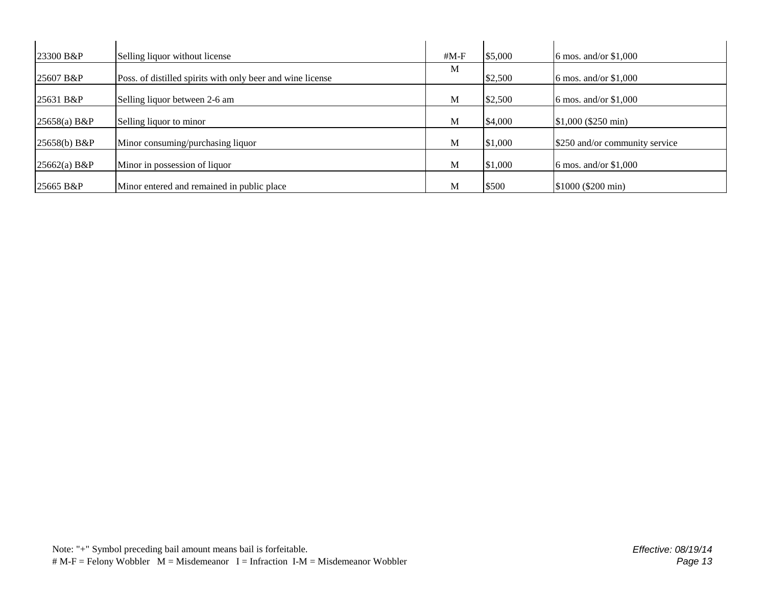| 23300 B&P      | Selling liquor without license                             | # $M-F$ | \$5,000 | 6 mos. and/or \$1,000          |
|----------------|------------------------------------------------------------|---------|---------|--------------------------------|
| 25607 B&P      | Poss. of distilled spirits with only beer and wine license | M       | \$2,500 | 6 mos. and/or $$1,000$         |
| $ 25631 B\&P$  | Selling liquor between 2-6 am                              | M       | \$2,500 | 6 mos. and/or \$1,000          |
| $25658(a)$ B&P | Selling liquor to minor                                    | M       | \$4,000 | $$1,000$ (\$250 min)           |
| 25658(b) B&P   | Minor consuming/purchasing liquor                          | M       | \$1,000 | \$250 and/or community service |
| $25662(a)$ B&P | Minor in possession of liquor                              | M       | \$1,000 | 6 mos. and/or $$1,000$         |
| 25665 B&P      | Minor entered and remained in public place                 | М       | \$500   | $$1000$ (\$200 min)            |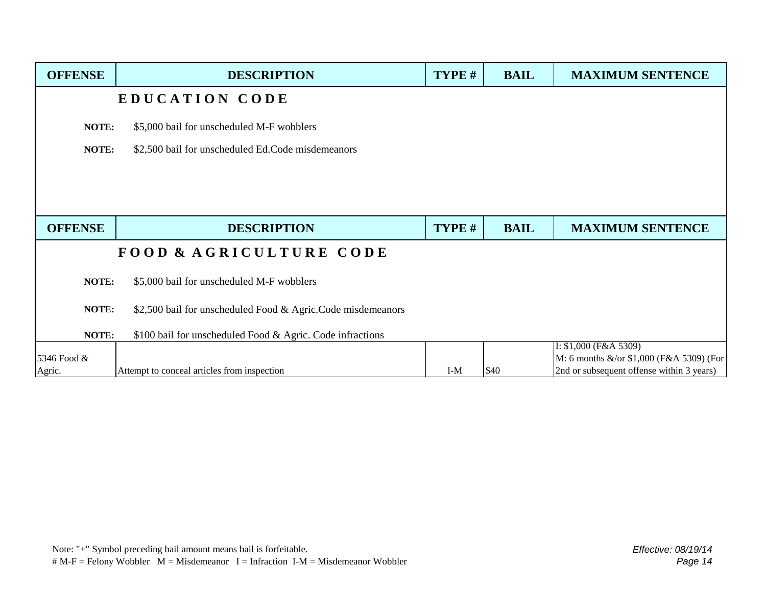| <b>OFFENSE</b> | <b>DESCRIPTION</b>                                          | TYPE # | <b>BAIL</b> | <b>MAXIMUM SENTENCE</b>                                            |
|----------------|-------------------------------------------------------------|--------|-------------|--------------------------------------------------------------------|
|                | EDUCATION CODE                                              |        |             |                                                                    |
| NOTE:          | \$5,000 bail for unscheduled M-F wobblers                   |        |             |                                                                    |
| NOTE:          | \$2,500 bail for unscheduled Ed.Code misdemeanors           |        |             |                                                                    |
|                |                                                             |        |             |                                                                    |
|                |                                                             |        |             |                                                                    |
|                |                                                             |        |             |                                                                    |
| <b>OFFENSE</b> | <b>DESCRIPTION</b>                                          | TYPE # | <b>BAIL</b> | <b>MAXIMUM SENTENCE</b>                                            |
|                | FOOD & AGRICULTURE CODE                                     |        |             |                                                                    |
| NOTE:          | \$5,000 bail for unscheduled M-F wobblers                   |        |             |                                                                    |
| NOTE:          | \$2,500 bail for unscheduled Food & Agric.Code misdemeanors |        |             |                                                                    |
|                |                                                             |        |             |                                                                    |
| NOTE:          | \$100 bail for unscheduled Food & Agric. Code infractions   |        |             |                                                                    |
| 5346 Food &    |                                                             |        |             | I: $$1,000$ (F&A 5309)<br>M: 6 months &/or \$1,000 (F&A 5309) (For |
| Agric.         | Attempt to conceal articles from inspection                 | $I-M$  | \$40        | 2nd or subsequent offense within 3 years)                          |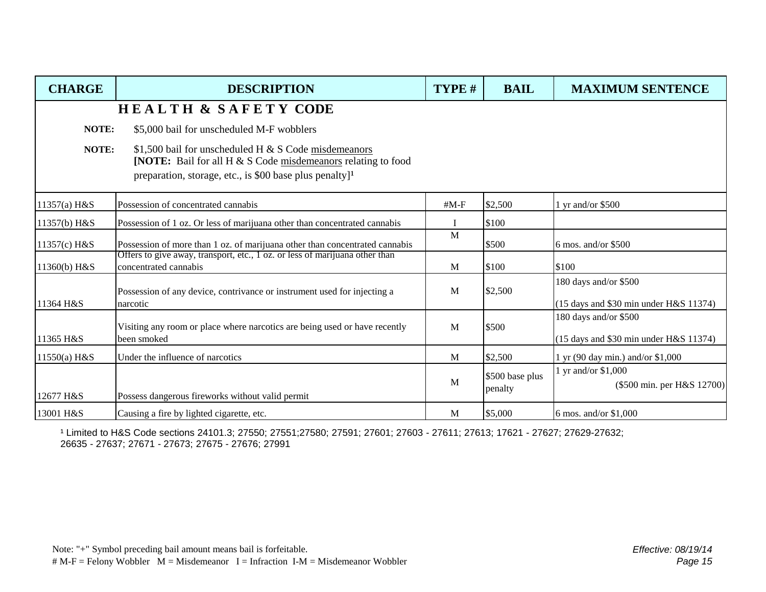| <b>CHARGE</b>  | <b>DESCRIPTION</b>                                                                                                                                                                           | TYPE # | <b>BAIL</b>                | <b>MAXIMUM SENTENCE</b>                                         |
|----------------|----------------------------------------------------------------------------------------------------------------------------------------------------------------------------------------------|--------|----------------------------|-----------------------------------------------------------------|
|                | <b>HEALTH &amp; SAFETY CODE</b>                                                                                                                                                              |        |                            |                                                                 |
| NOTE:          | \$5,000 bail for unscheduled M-F wobblers                                                                                                                                                    |        |                            |                                                                 |
| NOTE:          | \$1,500 bail for unscheduled H & S Code misdemeanors<br><b>[NOTE:</b> Bail for all H & S Code misdemeanors relating to food<br>preparation, storage, etc., is \$00 base plus penalty $]^{1}$ |        |                            |                                                                 |
| 11357(a) H&S   | Possession of concentrated cannabis                                                                                                                                                          | $#M-F$ | \$2,500                    | 1 yr and/or $$500$                                              |
| 11357(b) H&S   | Possession of 1 oz. Or less of marijuana other than concentrated cannabis                                                                                                                    |        | \$100                      |                                                                 |
| 11357(c) H&S   | Possession of more than 1 oz. of marijuana other than concentrated cannabis                                                                                                                  | M      | \$500                      | 6 mos. and/or $$500$                                            |
| 11360(b) H&S   | Offers to give away, transport, etc., 1 oz. or less of marijuana other than<br>concentrated cannabis                                                                                         | M      | \$100                      | \$100                                                           |
| 11364 H&S      | Possession of any device, contrivance or instrument used for injecting a<br>narcotic                                                                                                         | M      | \$2,500                    | 180 days and/or \$500<br>(15 days and \$30 min under H&S 11374) |
| 11365 H&S      | Visiting any room or place where narcotics are being used or have recently<br>been smoked                                                                                                    | M      | \$500                      | 180 days and/or \$500<br>(15 days and \$30 min under H&S 11374) |
| $11550(a)$ H&S | Under the influence of narcotics                                                                                                                                                             | M      | \$2,500                    | 1 yr (90 day min.) and/or \$1,000                               |
| 12677 H&S      | Possess dangerous fireworks without valid permit                                                                                                                                             | M      | \$500 base plus<br>penalty | 1 yr and/or \$1,000<br>(\$500 min. per H&S 12700)               |
| 13001 H&S      | Causing a fire by lighted cigarette, etc.                                                                                                                                                    | M      | \$5,000                    | 6 mos. and/or $$1,000$                                          |

¹ Limited to H&S Code sections 24101.3; 27550; 27551;27580; 27591; 27601; 27603 - 27611; 27613; 17621 - 27627; 27629-27632; 26635 - 27637; 27671 - 27673; 27675 - 27676; 27991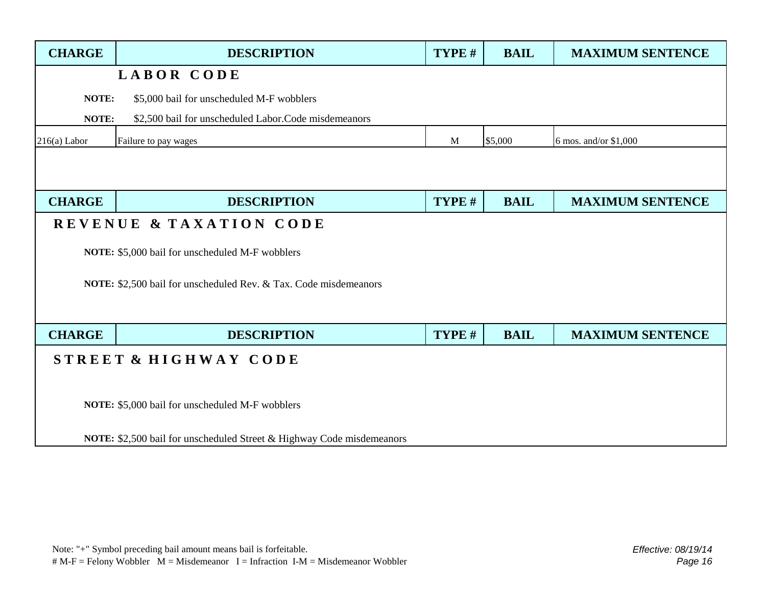| <b>CHARGE</b>                                                                | <b>DESCRIPTION</b>                                   | TYPE # | <b>BAIL</b> | <b>MAXIMUM SENTENCE</b> |  |  |
|------------------------------------------------------------------------------|------------------------------------------------------|--------|-------------|-------------------------|--|--|
|                                                                              | LABOR CODE                                           |        |             |                         |  |  |
|                                                                              | NOTE:<br>\$5,000 bail for unscheduled M-F wobblers   |        |             |                         |  |  |
| NOTE:                                                                        | \$2,500 bail for unscheduled Labor.Code misdemeanors |        |             |                         |  |  |
| $216(a)$ Labor                                                               | Failure to pay wages                                 | M      | \$5,000     | 6 mos. and/or \$1,000   |  |  |
|                                                                              |                                                      |        |             |                         |  |  |
|                                                                              |                                                      |        |             |                         |  |  |
| <b>CHARGE</b>                                                                | <b>DESCRIPTION</b>                                   | TYPE # | <b>BAIL</b> | <b>MAXIMUM SENTENCE</b> |  |  |
|                                                                              | REVENUE & TAXATION CODE                              |        |             |                         |  |  |
|                                                                              | NOTE: \$5,000 bail for unscheduled M-F wobblers      |        |             |                         |  |  |
|                                                                              |                                                      |        |             |                         |  |  |
| NOTE: \$2,500 bail for unscheduled Rev. & Tax. Code misdemeanors             |                                                      |        |             |                         |  |  |
|                                                                              |                                                      |        |             |                         |  |  |
| <b>CHARGE</b>                                                                | <b>DESCRIPTION</b>                                   | TYPE # | <b>BAIL</b> | <b>MAXIMUM SENTENCE</b> |  |  |
| STREET & HIGHWAY CODE                                                        |                                                      |        |             |                         |  |  |
|                                                                              |                                                      |        |             |                         |  |  |
| NOTE: \$5,000 bail for unscheduled M-F wobblers                              |                                                      |        |             |                         |  |  |
|                                                                              |                                                      |        |             |                         |  |  |
| <b>NOTE:</b> \$2,500 bail for unscheduled Street & Highway Code misdemeanors |                                                      |        |             |                         |  |  |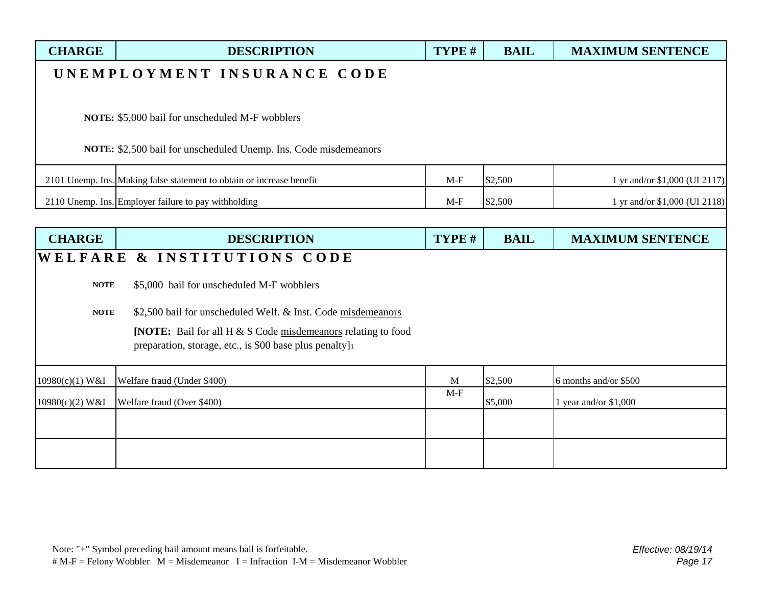| <b>CHARGE</b>               | <b>DESCRIPTION</b>                                                                                                               | TYPE # | <b>BAIL</b> | <b>MAXIMUM SENTENCE</b>       |  |  |
|-----------------------------|----------------------------------------------------------------------------------------------------------------------------------|--------|-------------|-------------------------------|--|--|
| UNEMPLOYMENT INSURANCE CODE |                                                                                                                                  |        |             |                               |  |  |
|                             |                                                                                                                                  |        |             |                               |  |  |
|                             | NOTE: \$5,000 bail for unscheduled M-F wobblers                                                                                  |        |             |                               |  |  |
|                             | NOTE: \$2,500 bail for unscheduled Unemp. Ins. Code misdemeanors                                                                 |        |             |                               |  |  |
|                             | 2101 Unemp. Ins. Making false statement to obtain or increase benefit                                                            | $M-F$  | \$2,500     | 1 yr and/or \$1,000 (UI 2117) |  |  |
|                             | 2110 Unemp. Ins. Employer failure to pay withholding                                                                             | $M-F$  | \$2,500     | 1 yr and/or \$1,000 (UI 2118) |  |  |
|                             |                                                                                                                                  |        |             |                               |  |  |
| <b>CHARGE</b>               | <b>DESCRIPTION</b>                                                                                                               | TYPE # | <b>BAIL</b> | <b>MAXIMUM SENTENCE</b>       |  |  |
|                             | WELFARE & INSTITUTIONS CODE                                                                                                      |        |             |                               |  |  |
| <b>NOTE</b>                 | \$5,000 bail for unscheduled M-F wobblers                                                                                        |        |             |                               |  |  |
| <b>NOTE</b>                 | \$2,500 bail for unscheduled Welf. & Inst. Code misdemeanors                                                                     |        |             |                               |  |  |
|                             | <b>[NOTE:</b> Bail for all $H \& S$ Code misdemeanors relating to food<br>preparation, storage, etc., is \$00 base plus penalty] |        |             |                               |  |  |
| 10980(c)(1) W&I             | Welfare fraud (Under \$400)                                                                                                      | M      | \$2,500     | 6 months and/or \$500         |  |  |
| 10980(c)(2) W&I             | Welfare fraud (Over \$400)                                                                                                       | $M-F$  | \$5,000     | 1 year and/or $$1,000$        |  |  |
|                             |                                                                                                                                  |        |             |                               |  |  |
|                             |                                                                                                                                  |        |             |                               |  |  |